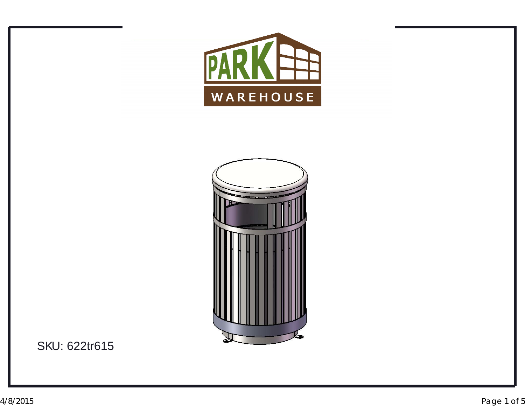



SKU: 622tr615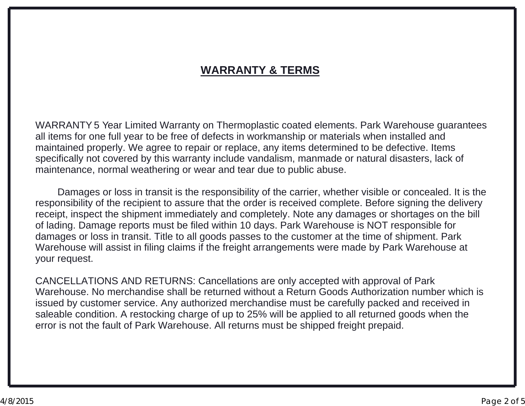## **WARRANTY & TERMS**

WARRANTY <sup>5</sup> Year Limited Warranty on Thermoplastic coated elements. Park Warehouse guarantees all items for one full year to be free of defects in workmanship or materials when installed and maintained properly. We agree to repair or replace, any items determined to be defective. Items specifically not covered by this warranty include vandalism, manmade or natural disasters, lack of maintenance, normal weathering or wear and tear due to public abuse.

Damages or loss in transit is the responsibility of the carrier, whether visible or concealed. It is the responsibility of the recipient to assure that the order is received complete. Before signing the delivery receipt, inspect the shipment immediately and completely. Note any damages or shortages on the bill of lading. Damage reports must be filed within <sup>10</sup> days. Park Warehouse is NOT responsible for damages or loss in transit. Title to all goods passes to the customer at the time of shipment. Park Warehouse will assist in filing claims if the freight arrangements were made by Park Warehouse at your request.

CANCELLATIONS AND RETURNS: Cancellations are only accepted with approval of Park<br>Warehouse, Ne merehandies aboll be returned without a Peture Ceede Autherization numb Warehouse. No merchandise shall be returned without <sup>a</sup> Return Goods Authorization number which is issued by customer service. Any authorized merchandise must be carefully packed and received in saleable condition. A restocking charge of up to 25% will be applied to all returned goods when the<br>error is not the fault of Park Warebouse. All returns must be shinned freight prenaid. error is not the fault of Park Warehouse. All returns must be shipped freight prepaid.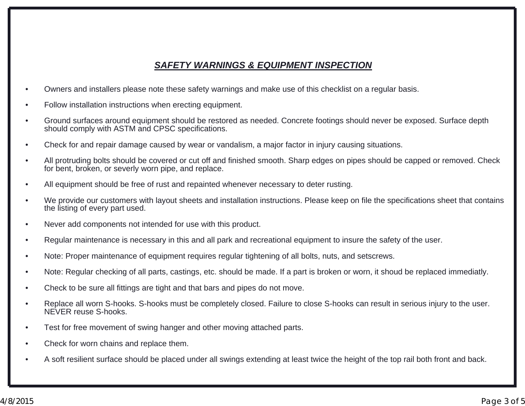### *SAFETY WARNINGS & EQUIPMENT INSPECTION*

- •Owners and installers please note these safety warnings and make use of this checklist on <sup>a</sup> regular basis.
- •Follow installation instructions when erecting equipment.
- • Ground surfaces around equipment should be restored as needed. Concrete footings should never be exposed. Surface depth should comply with ASTM and CPSC specifications.
- •Check for and repair damage caused by wear or vandalism, <sup>a</sup> major factor in injury causing situations.
- • All protruding bolts should be covered or cut off and finished smooth. Sharp edges on pipes should be capped or removed. Check for bent, broken, or severly worn pipe, and replace.
- •All equipment should be free of rust and repainted whenever necessary to deter rusting.
- • We provide our customers with layout sheets and installation instructions. Please keep on file the specifications sheet that contains the listing of every part used.
- •Never add components not intended for use with this product.
- •Regular maintenance is necessary in this and all park and recreational equipment to insure the safety of the user.
- •Note: Proper maintenance of equipment requires regular tightening of all bolts, nuts, and setscrews.
- •Note: Regular checking of all parts, castings, etc. should be made. If <sup>a</sup> part is broken or worn, it shoud be replaced immediatly.
- •Check to be sure all fittings are tight and that bars and pipes do not move.
- • Replace all worn S-hooks. S-hooks must be completely closed. Failure to close S-hooks can result in serious injury to the user. NEVER reuse S-hooks.
- •Test for free movement of swing hanger and other moving attached parts.
- •Check for worn chains and replace them.
- •A soft resilient surface should be placed under all swings extending at least twice the height of the top rail both front and back.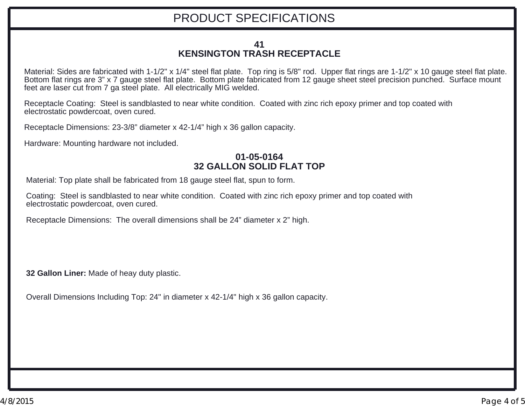#### **KENSINGTON TRASH RECEPTACLE 41**

Material: Sides are fabricated with 1-1/2" <sup>x</sup> 1/4" steel flat plate. Top ring is 5/8" rod. Upper flat rings are 1-1/2" <sup>x</sup> 10 gauge steel flat plate. Bottom flat rings are 3" <sup>x</sup> 7 gauge steel flat plate. Bottom plate fabricated from 12 gauge sheet steel precision punched. Surface mount feet are laser cut from 7 ga steel plate. All electrically MIG welded.

Receptacle Coating: Steel is sandblasted to near white condition. Coated with zinc rich epoxy primer and top coated with electrostatic powdercoat, oven cured.

Receptacle Dimensions: 23-3/8" diameter <sup>x</sup> 42-1/4" high <sup>x</sup> 36 gallon capacity.

Hardware: Mounting hardware not included.

#### **01-05-016432 GALLON SOLID FLAT TOP**

Material: Top plate shall be fabricated from 18 gauge steel flat, spun to form.

electrostatic powdercoat, oven cured. Coating: Steel is sandblasted to near white condition. Coated with zinc rich epoxy primer and top coated with

Receptacle Dimensions: The overall dimensions shall be 24" diameter <sup>x</sup> 2" high.

**32 Gallon Liner:** Made of heay duty plastic.

Overall Dimensions Including Top: 24" in diameter <sup>x</sup> 42-1/4" high <sup>x</sup> 36 gallon capacity.